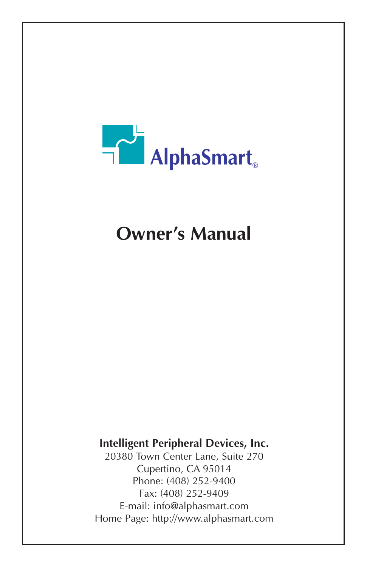

# **Owner's Manual**

# **Intelligent Peripheral Devices, Inc.**

20380 Town Center Lane, Suite 270 Cupertino, CA 95014 Phone: (408) 252-9400 Fax: (408) 252-9409 E-mail: info@alphasmart.com Home Page: http://www.alphasmart.com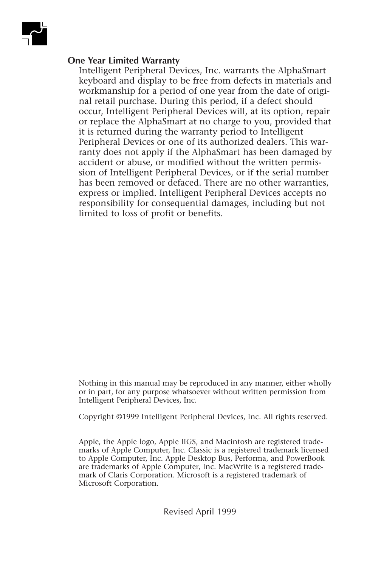#### **One Year Limited Warranty**

Intelligent Peripheral Devices, Inc. warrants the AlphaSmart keyboard and display to be free from defects in materials and workmanship for a period of one year from the date of original retail purchase. During this period, if a defect should occur, Intelligent Peripheral Devices will, at its option, repair or replace the AlphaSmart at no charge to you, provided that it is returned during the warranty period to Intelligent Peripheral Devices or one of its authorized dealers. This warranty does not apply if the AlphaSmart has been damaged by accident or abuse, or modified without the written permission of Intelligent Peripheral Devices, or if the serial number has been removed or defaced. There are no other warranties, express or implied. Intelligent Peripheral Devices accepts no responsibility for consequential damages, including but not limited to loss of profit or benefits.

Nothing in this manual may be reproduced in any manner, either wholly or in part, for any purpose whatsoever without written permission from Intelligent Peripheral Devices, Inc.

Copyright ©1999 Intelligent Peripheral Devices, Inc. All rights reserved.

Apple, the Apple logo, Apple IIGS, and Macintosh are registered trademarks of Apple Computer, Inc. Classic is a registered trademark licensed to Apple Computer, Inc. Apple Desktop Bus, Performa, and PowerBook are trademarks of Apple Computer, Inc. MacWrite is a registered trademark of Claris Corporation. Microsoft is a registered trademark of Microsoft Corporation.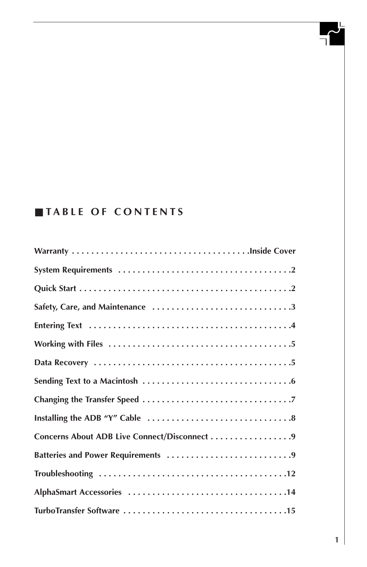# ■ **TABLE OF CONTENTS**

| Concerns About ADB Live Connect/Disconnect 9 |
|----------------------------------------------|
|                                              |
|                                              |
|                                              |
|                                              |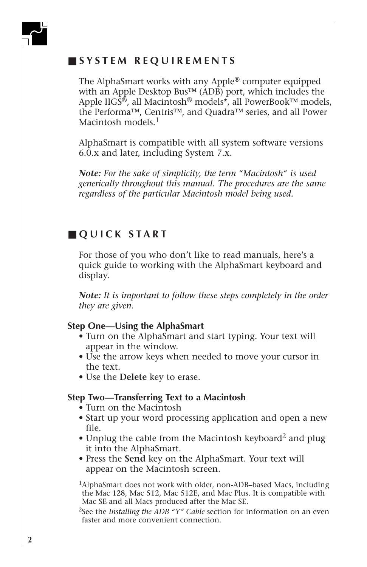# ■ **SYSTEM REQUIREMENTS**

The AlphaSmart works with any Apple® computer equipped with an Apple Desktop Bus™ (ADB) port, which includes the Apple IIGS<sup>®</sup>, all Macintosh<sup>®</sup> models<sup>\*</sup>, all PowerBook<sup>™</sup> models, the Performa™, Centris™, and Quadra™ series, and all Power Macintosh models.<sup>1</sup>

AlphaSmart is compatible with all system software versions 6.0.x and later, including System 7.x.

*Note: For the sake of simplicity, the term "Macintosh" is used generically throughout this manual. The procedures are the same regardless of the particular Macintosh model being used.*

# ■ **QUICK START**

For those of you who don't like to read manuals, here's a quick guide to working with the AlphaSmart keyboard and display.

*Note: It is important to follow these steps completely in the order they are given.*

#### **Step One—Using the AlphaSmart**

- Turn on the AlphaSmart and start typing. Your text will appear in the window.
- Use the arrow keys when needed to move your cursor in the text.
- Use the **Delete** key to erase.

#### **Step Two—Transferring Text to a Macintosh**

- Turn on the Macintosh
- Start up your word processing application and open a new file.
- Unplug the cable from the Macintosh keyboard2 and plug it into the AlphaSmart.
- Press the **Send** key on the AlphaSmart. Your text will appear on the Macintosh screen.

<sup>1</sup>AlphaSmart does not work with older, non-ADB–based Macs, including the Mac 128, Mac 512, Mac 512E, and Mac Plus. It is compatible with Mac SE and all Macs produced after the Mac SE.

<sup>2</sup>See the *Installing the ADB "Y" Cable* section for information on an even faster and more convenient connection.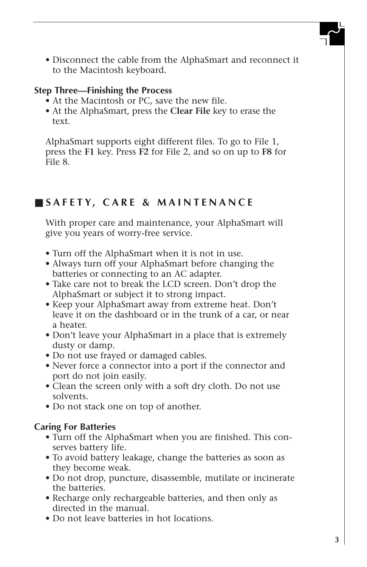• Disconnect the cable from the AlphaSmart and reconnect it to the Macintosh keyboard.

#### **Step Three—Finishing the Process**

- At the Macintosh or PC, save the new file.
- At the AlphaSmart, press the **Clear File** key to erase the text.

AlphaSmart supports eight different files. To go to File 1, press the **F1** key. Press **F2** for File 2, and so on up to **F8** for File 8.

# ■ **SAFETY, CARE & MAINTENANCE**

With proper care and maintenance, your AlphaSmart will give you years of worry-free service.

- Turn off the AlphaSmart when it is not in use.
- Always turn off your AlphaSmart before changing the batteries or connecting to an AC adapter.
- Take care not to break the LCD screen. Don't drop the AlphaSmart or subject it to strong impact.
- Keep your AlphaSmart away from extreme heat. Don't leave it on the dashboard or in the trunk of a car, or near a heater.
- Don't leave your AlphaSmart in a place that is extremely dusty or damp.
- Do not use frayed or damaged cables.
- Never force a connector into a port if the connector and port do not join easily.
- Clean the screen only with a soft dry cloth. Do not use solvents.
- Do not stack one on top of another.

#### **Caring For Batteries**

- Turn off the AlphaSmart when you are finished. This conserves battery life.
- To avoid battery leakage, change the batteries as soon as they become weak.
- Do not drop, puncture, disassemble, mutilate or incinerate the batteries.
- Recharge only rechargeable batteries, and then only as directed in the manual.
- Do not leave batteries in hot locations.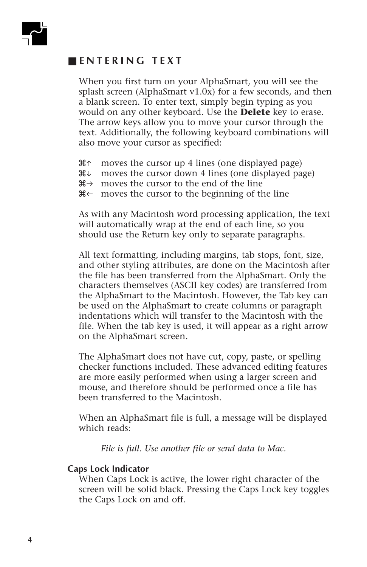### ■ **ENTERING TEXT**

When you first turn on your AlphaSmart, you will see the splash screen (AlphaSmart v1.0x) for a few seconds, and then a blank screen. To enter text, simply begin typing as you would on any other keyboard. Use the **Delete** key to erase. The arrow keys allow you to move your cursor through the text. Additionally, the following keyboard combinations will also move your cursor as specified:

 $\mathcal{H}$  moves the cursor up 4 lines (one displayed page)

- $\mathcal{H}$  moves the cursor down 4 lines (one displayed page)
- $\mathcal{H} \rightarrow$  moves the cursor to the end of the line

 $\mathcal{H} \leftarrow$  moves the cursor to the beginning of the line

As with any Macintosh word processing application, the text will automatically wrap at the end of each line, so you should use the Return key only to separate paragraphs.

All text formatting, including margins, tab stops, font, size, and other styling attributes, are done on the Macintosh after the file has been transferred from the AlphaSmart. Only the characters themselves (ASCII key codes) are transferred from the AlphaSmart to the Macintosh. However, the Tab key can be used on the AlphaSmart to create columns or paragraph indentations which will transfer to the Macintosh with the file. When the tab key is used, it will appear as a right arrow on the AlphaSmart screen.

The AlphaSmart does not have cut, copy, paste, or spelling checker functions included. These advanced editing features are more easily performed when using a larger screen and mouse, and therefore should be performed once a file has been transferred to the Macintosh.

When an AlphaSmart file is full, a message will be displayed which reads:

*File is full. Use another file or send data to Mac.*

#### **Caps Lock Indicator**

When Caps Lock is active, the lower right character of the screen will be solid black. Pressing the Caps Lock key toggles the Caps Lock on and off.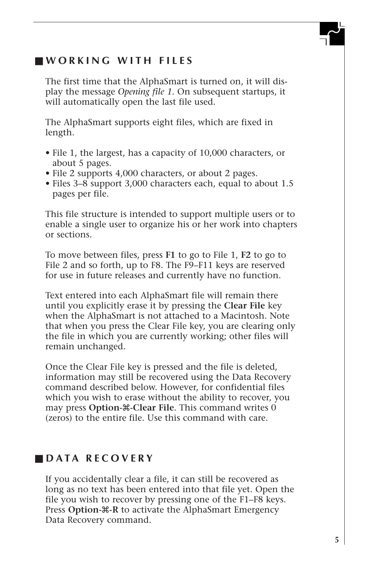# ■ **WORKING WITH FILES**

The first time that the AlphaSmart is turned on, it will display the message *Opening file 1.* On subsequent startups, it will automatically open the last file used.

The AlphaSmart supports eight files, which are fixed in length.

- File 1, the largest, has a capacity of 10,000 characters, or about 5 pages.
- File 2 supports 4,000 characters, or about 2 pages.
- Files 3–8 support 3,000 characters each, equal to about 1.5 pages per file.

This file structure is intended to support multiple users or to enable a single user to organize his or her work into chapters or sections.

To move between files, press **F1** to go to File 1, **F2** to go to File 2 and so forth, up to F8. The F9–F11 keys are reserved for use in future releases and currently have no function.

Text entered into each AlphaSmart file will remain there until you explicitly erase it by pressing the **Clear File** key when the AlphaSmart is not attached to a Macintosh. Note that when you press the Clear File key, you are clearing only the file in which you are currently working; other files will remain unchanged.

Once the Clear File key is pressed and the file is deleted, information may still be recovered using the Data Recovery command described below. However, for confidential files which you wish to erase without the ability to recover, you may press **Option-**x**-Clear File**. This command writes 0 (zeros) to the entire file. Use this command with care.

# ■ **DATA RECOVERY**

If you accidentally clear a file, it can still be recovered as long as no text has been entered into that file yet. Open the file you wish to recover by pressing one of the F1–F8 keys. Press **Option-** $\mathcal{R}$ -R to activate the AlphaSmart Emergency Data Recovery command.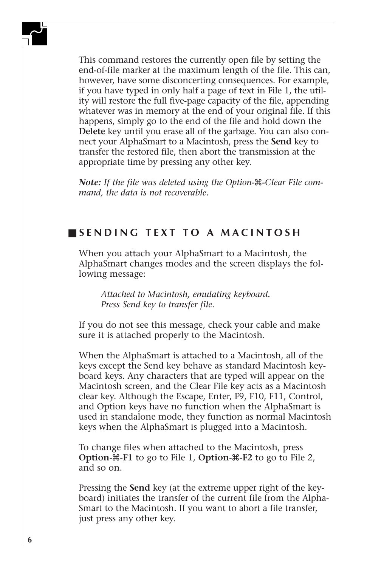This command restores the currently open file by setting the end-of-file marker at the maximum length of the file. This can, however, have some disconcerting consequences. For example, if you have typed in only half a page of text in File 1, the utility will restore the full five-page capacity of the file, appending whatever was in memory at the end of your original file. If this happens, simply go to the end of the file and hold down the **Delete** key until you erase all of the garbage. You can also connect your AlphaSmart to a Macintosh, press the **Send** key to transfer the restored file, then abort the transmission at the appropriate time by pressing any other key.

*Note: If the file was deleted using the Option-*x*-Clear File command, the data is not recoverable.*

# ■ **SENDING TEXT TO A MACINTOSH**

When you attach your AlphaSmart to a Macintosh, the AlphaSmart changes modes and the screen displays the following message:

*Attached to Macintosh, emulating keyboard. Press Send key to transfer file.*

If you do not see this message, check your cable and make sure it is attached properly to the Macintosh.

When the AlphaSmart is attached to a Macintosh, all of the keys except the Send key behave as standard Macintosh keyboard keys. Any characters that are typed will appear on the Macintosh screen, and the Clear File key acts as a Macintosh clear key. Although the Escape, Enter, F9, F10, F11, Control, and Option keys have no function when the AlphaSmart is used in standalone mode, they function as normal Macintosh keys when the AlphaSmart is plugged into a Macintosh.

To change files when attached to the Macintosh, press **Option-**x**-F1** to go to File 1, **Option-**x**-F2** to go to File 2, and so on.

Pressing the **Send** key (at the extreme upper right of the keyboard) initiates the transfer of the current file from the Alpha-Smart to the Macintosh. If you want to abort a file transfer, just press any other key.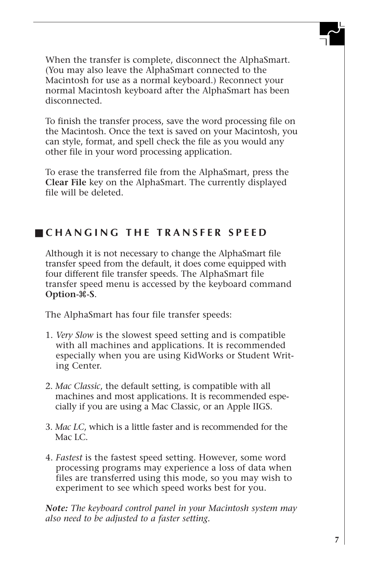When the transfer is complete, disconnect the AlphaSmart. (You may also leave the AlphaSmart connected to the Macintosh for use as a normal keyboard.) Reconnect your normal Macintosh keyboard after the AlphaSmart has been disconnected.

To finish the transfer process, save the word processing file on the Macintosh. Once the text is saved on your Macintosh, you can style, format, and spell check the file as you would any other file in your word processing application.

To erase the transferred file from the AlphaSmart, press the **Clear File** key on the AlphaSmart. The currently displayed file will be deleted.

# ■ **CHANGING THE TRANSFER SPEED**

Although it is not necessary to change the AlphaSmart file transfer speed from the default, it does come equipped with four different file transfer speeds. The AlphaSmart file transfer speed menu is accessed by the keyboard command **Option-**x**-S**.

The AlphaSmart has four file transfer speeds:

- 1. *Very Slow* is the slowest speed setting and is compatible with all machines and applications. It is recommended especially when you are using KidWorks or Student Writing Center.
- 2. *Mac Classic*, the default setting, is compatible with all machines and most applications. It is recommended especially if you are using a Mac Classic, or an Apple IIGS.
- 3. *Mac LC*, which is a little faster and is recommended for the Mac LC.
- 4. *Fastest* is the fastest speed setting. However, some word processing programs may experience a loss of data when files are transferred using this mode, so you may wish to experiment to see which speed works best for you.

*Note: The keyboard control panel in your Macintosh system may also need to be adjusted to a faster setting.*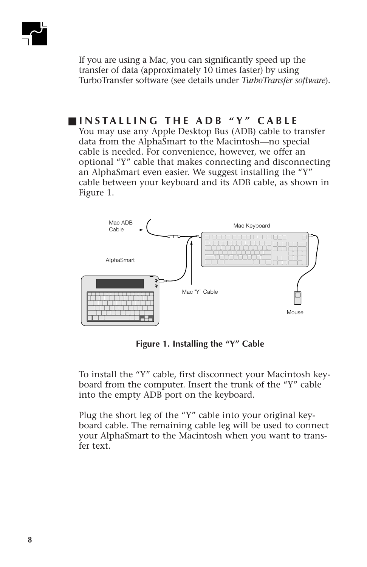If you are using a Mac, you can significantly speed up the transfer of data (approximately 10 times faster) by using TurboTransfer software (see details under *TurboTransfer software*).

# ■ **INSTALLING THE ADB "Y" CABLE**

You may use any Apple Desktop Bus (ADB) cable to transfer data from the AlphaSmart to the Macintosh—no special cable is needed. For convenience, however, we offer an optional "Y" cable that makes connecting and disconnecting an AlphaSmart even easier. We suggest installing the "Y" cable between your keyboard and its ADB cable, as shown in Figure 1.



**Figure 1. Installing the "Y" Cable**

To install the "Y" cable, first disconnect your Macintosh keyboard from the computer. Insert the trunk of the "Y" cable into the empty ADB port on the keyboard.

Plug the short leg of the "Y" cable into your original keyboard cable. The remaining cable leg will be used to connect your AlphaSmart to the Macintosh when you want to transfer text.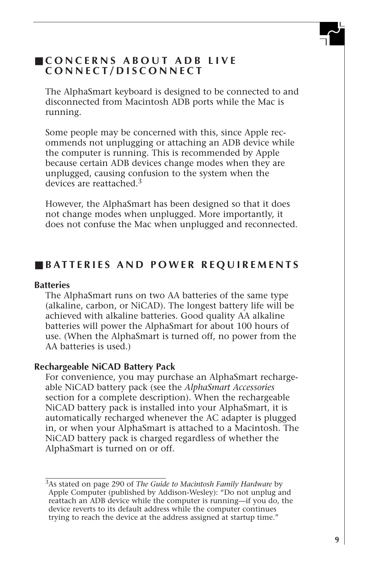# ■ **CONCERNS ABOUT ADB LIVE CONNECT/DISCONNECT**

The AlphaSmart keyboard is designed to be connected to and disconnected from Macintosh ADB ports while the Mac is running.

Some people may be concerned with this, since Apple recommends not unplugging or attaching an ADB device while the computer is running. This is recommended by Apple because certain ADB devices change modes when they are unplugged, causing confusion to the system when the devices are reattached 3

However, the AlphaSmart has been designed so that it does not change modes when unplugged. More importantly, it does not confuse the Mac when unplugged and reconnected.

#### ■ **BATTERIES AND POWER REQUIREMENTS**

#### **Batteries**

The AlphaSmart runs on two AA batteries of the same type (alkaline, carbon, or NiCAD). The longest battery life will be achieved with alkaline batteries. Good quality AA alkaline batteries will power the AlphaSmart for about 100 hours of use. (When the AlphaSmart is turned off, no power from the AA batteries is used.)

#### **Rechargeable NiCAD Battery Pack**

For convenience, you may purchase an AlphaSmart rechargeable NiCAD battery pack (see the *AlphaSmart Accessories* section for a complete description). When the rechargeable NiCAD battery pack is installed into your AlphaSmart, it is automatically recharged whenever the AC adapter is plugged in, or when your AlphaSmart is attached to a Macintosh. The NiCAD battery pack is charged regardless of whether the AlphaSmart is turned on or off.

<sup>3</sup>As stated on page 290 of *The Guide to Macintosh Family Hardware* by Apple Computer (published by Addison-Wesley): "Do not unplug and reattach an ADB device while the computer is running—if you do, the device reverts to its default address while the computer continues trying to reach the device at the address assigned at startup time."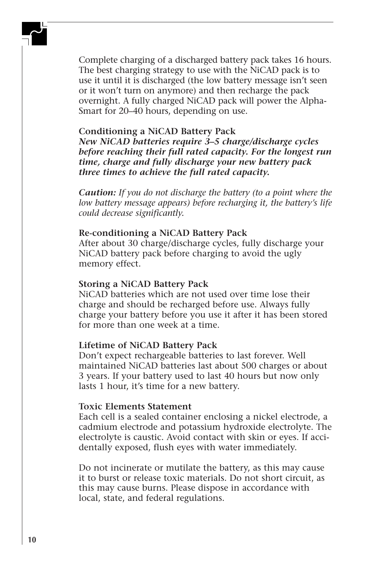Complete charging of a discharged battery pack takes 16 hours. The best charging strategy to use with the NiCAD pack is to use it until it is discharged (the low battery message isn't seen or it won't turn on anymore) and then recharge the pack overnight. A fully charged NiCAD pack will power the Alpha-Smart for 20–40 hours, depending on use.

#### **Conditioning a NiCAD Battery Pack**

*New NiCAD batteries require 3–5 charge/discharge cycles before reaching their full rated capacity. For the longest run time, charge and fully discharge your new battery pack three times to achieve the full rated capacity.*

*Caution: If you do not discharge the battery (to a point where the low battery message appears) before recharging it, the battery's life could decrease significantly.*

#### **Re-conditioning a NiCAD Battery Pack**

After about 30 charge/discharge cycles, fully discharge your NiCAD battery pack before charging to avoid the ugly memory effect.

#### **Storing a NiCAD Battery Pack**

NiCAD batteries which are not used over time lose their charge and should be recharged before use. Always fully charge your battery before you use it after it has been stored for more than one week at a time.

#### **Lifetime of NiCAD Battery Pack**

Don't expect rechargeable batteries to last forever. Well maintained NiCAD batteries last about 500 charges or about 3 years. If your battery used to last 40 hours but now only lasts 1 hour, it's time for a new battery.

#### **Toxic Elements Statement**

Each cell is a sealed container enclosing a nickel electrode, a cadmium electrode and potassium hydroxide electrolyte. The electrolyte is caustic. Avoid contact with skin or eyes. If accidentally exposed, flush eyes with water immediately.

Do not incinerate or mutilate the battery, as this may cause it to burst or release toxic materials. Do not short circuit, as this may cause burns. Please dispose in accordance with local, state, and federal regulations.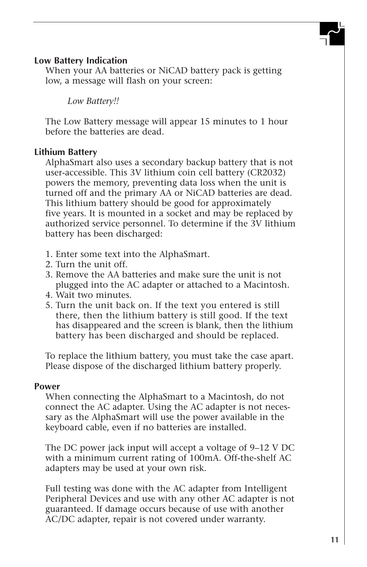#### **Low Battery Indication**

When your AA batteries or NiCAD battery pack is getting low, a message will flash on your screen:

*Low Battery!!*

The Low Battery message will appear 15 minutes to 1 hour before the batteries are dead.

#### **Lithium Battery**

AlphaSmart also uses a secondary backup battery that is not user-accessible. This 3V lithium coin cell battery (CR2032) powers the memory, preventing data loss when the unit is turned off and the primary AA or NiCAD batteries are dead. This lithium battery should be good for approximately five years. It is mounted in a socket and may be replaced by authorized service personnel. To determine if the 3V lithium battery has been discharged:

- 1. Enter some text into the AlphaSmart.
- 2. Turn the unit off.
- 3. Remove the AA batteries and make sure the unit is not plugged into the AC adapter or attached to a Macintosh.
- 4. Wait two minutes.
- 5. Turn the unit back on. If the text you entered is still there, then the lithium battery is still good. If the text has disappeared and the screen is blank, then the lithium battery has been discharged and should be replaced.

To replace the lithium battery, you must take the case apart. Please dispose of the discharged lithium battery properly.

#### **Power**

When connecting the AlphaSmart to a Macintosh, do not connect the AC adapter. Using the AC adapter is not necessary as the AlphaSmart will use the power available in the keyboard cable, even if no batteries are installed.

The DC power jack input will accept a voltage of 9–12 V DC with a minimum current rating of 100mA. Off-the-shelf AC adapters may be used at your own risk.

Full testing was done with the AC adapter from Intelligent Peripheral Devices and use with any other AC adapter is not guaranteed. If damage occurs because of use with another AC/DC adapter, repair is not covered under warranty.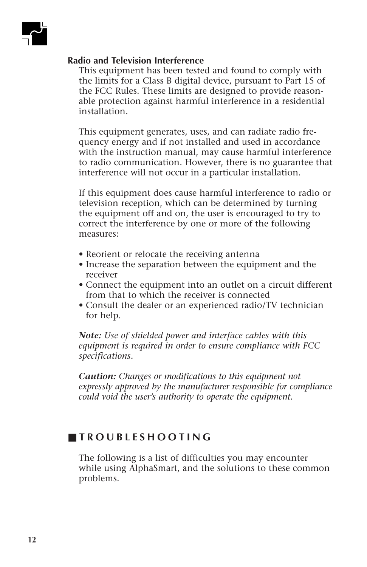#### **Radio and Television Interference**

This equipment has been tested and found to comply with the limits for a Class B digital device, pursuant to Part 15 of the FCC Rules. These limits are designed to provide reasonable protection against harmful interference in a residential installation.

This equipment generates, uses, and can radiate radio frequency energy and if not installed and used in accordance with the instruction manual, may cause harmful interference to radio communication. However, there is no guarantee that interference will not occur in a particular installation.

If this equipment does cause harmful interference to radio or television reception, which can be determined by turning the equipment off and on, the user is encouraged to try to correct the interference by one or more of the following measures:

- Reorient or relocate the receiving antenna
- Increase the separation between the equipment and the receiver
- Connect the equipment into an outlet on a circuit different from that to which the receiver is connected
- Consult the dealer or an experienced radio/TV technician for help.

*Note: Use of shielded power and interface cables with this equipment is required in order to ensure compliance with FCC specifications.*

*Caution: Changes or modifications to this equipment not expressly approved by the manufacturer responsible for compliance could void the user's authority to operate the equipment.*

# ■ **TROUBLESHOOTING**

The following is a list of difficulties you may encounter while using AlphaSmart, and the solutions to these common problems.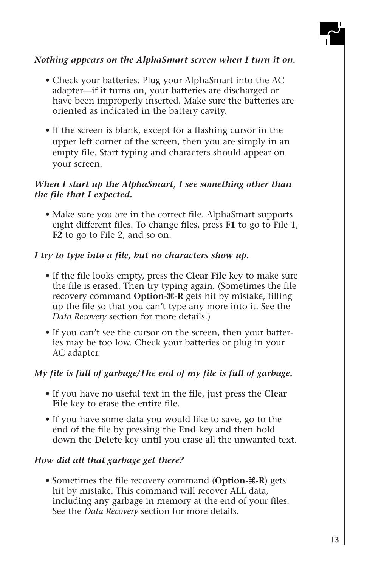# *Nothing appears on the AlphaSmart screen when I turn it on.*

- Check your batteries. Plug your AlphaSmart into the AC adapter—if it turns on, your batteries are discharged or have been improperly inserted. Make sure the batteries are oriented as indicated in the battery cavity.
- If the screen is blank, except for a flashing cursor in the upper left corner of the screen, then you are simply in an empty file. Start typing and characters should appear on your screen.

### *When I start up the AlphaSmart, I see something other than the file that I expected.*

• Make sure you are in the correct file. AlphaSmart supports eight different files. To change files, press **F1** to go to File 1, **F2** to go to File 2, and so on.

## *I try to type into a file, but no characters show up.*

- If the file looks empty, press the **Clear File** key to make sure the file is erased. Then try typing again. (Sometimes the file recovery command **Option-**x**-R** gets hit by mistake, filling up the file so that you can't type any more into it. See the *Data Recovery* section for more details.)
- If you can't see the cursor on the screen, then your batteries may be too low. Check your batteries or plug in your AC adapter.

### *My file is full of garbage/The end of my file is full of garbage.*

- If you have no useful text in the file, just press the **Clear File** key to erase the entire file.
- If you have some data you would like to save, go to the end of the file by pressing the **End** key and then hold down the **Delete** key until you erase all the unwanted text.

### *How did all that garbage get there?*

• Sometimes the file recovery command (Option- $\mathcal{R}$ -R) gets hit by mistake. This command will recover ALL data, including any garbage in memory at the end of your files. See the *Data Recovery* section for more details.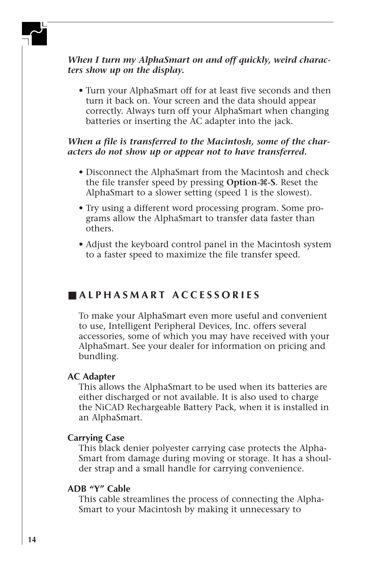#### *When I turn my AlphaSmart on and off quickly, weird characters show up on the display.*

• Turn your AlphaSmart off for at least five seconds and then turn it back on. Your screen and the data should appear correctly. Always turn off your AlphaSmart when changing batteries or inserting the AC adapter into the jack.

### *When a file is transferred to the Macintosh, some of the characters do not show up or appear not to have transferred.*

- Disconnect the AlphaSmart from the Macintosh and check the file transfer speed by pressing **Option-**x**-S**. Reset the AlphaSmart to a slower setting (speed 1 is the slowest).
- Try using a different word processing program. Some programs allow the AlphaSmart to transfer data faster than others.
- Adjust the keyboard control panel in the Macintosh system to a faster speed to maximize the file transfer speed.

# ■ **ALPHASMART ACCESSORIES**

To make your AlphaSmart even more useful and convenient to use, Intelligent Peripheral Devices, Inc. offers several accessories, some of which you may have received with your AlphaSmart. See your dealer for information on pricing and bundling.

#### **AC Adapter**

This allows the AlphaSmart to be used when its batteries are either discharged or not available. It is also used to charge the NiCAD Rechargeable Battery Pack, when it is installed in an AlphaSmart.

#### **Carrying Case**

This black denier polyester carrying case protects the Alpha-Smart from damage during moving or storage. It has a shoulder strap and a small handle for carrying convenience.

#### **ADB "Y" Cable**

This cable streamlines the process of connecting the Alpha-Smart to your Macintosh by making it unnecessary to